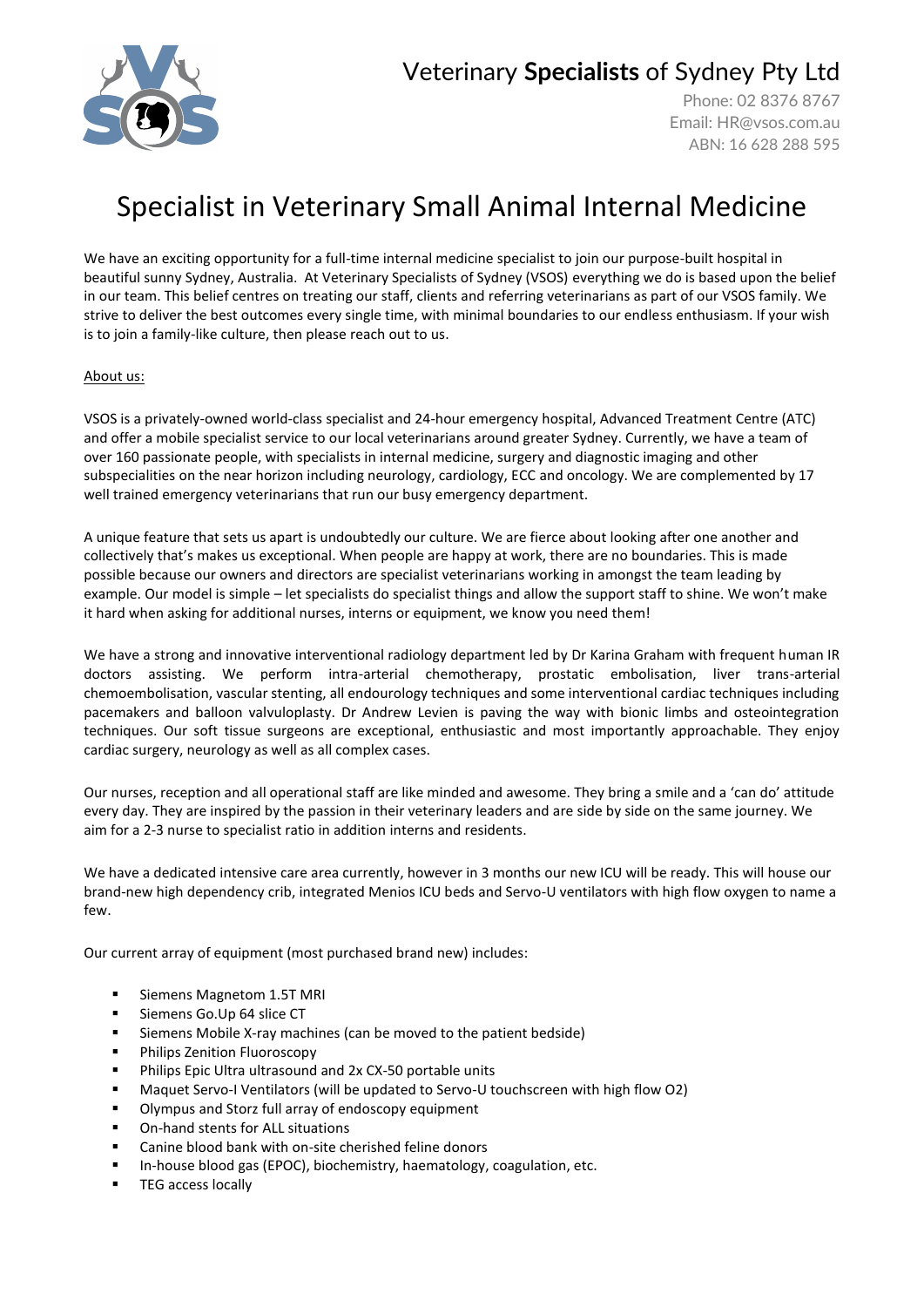

### Veterinary **Specialists** of Sydney Pty Ltd

Phone: 02 8376 8767 Email: [HR@vsos.com.au](mailto:HR@vsos.com.au) ABN: 16 628 288 595

# Specialist in Veterinary Small Animal Internal Medicine

We have an exciting opportunity for a full-time internal medicine specialist to join our purpose-built hospital in beautiful sunny Sydney, Australia. At Veterinary Specialists of Sydney (VSOS) everything we do is based upon the belief in our team. This belief centres on treating our staff, clients and referring veterinarians as part of our VSOS family. We strive to deliver the best outcomes every single time, with minimal boundaries to our endless enthusiasm. If your wish is to join a family-like culture, then please reach out to us.

#### About us:

VSOS is a privately-owned world-class specialist and 24-hour emergency hospital, Advanced Treatment Centre (ATC) and offer a mobile specialist service to our local veterinarians around greater Sydney. Currently, we have a team of over 160 passionate people, with specialists in internal medicine, surgery and diagnostic imaging and other subspecialities on the near horizon including neurology, cardiology, ECC and oncology. We are complemented by 17 well trained emergency veterinarians that run our busy emergency department.

A unique feature that sets us apart is undoubtedly our culture. We are fierce about looking after one another and collectively that's makes us exceptional. When people are happy at work, there are no boundaries. This is made possible because our owners and directors are specialist veterinarians working in amongst the team leading by example. Our model is simple – let specialists do specialist things and allow the support staff to shine. We won't make it hard when asking for additional nurses, interns or equipment, we know you need them!

We have a strong and innovative interventional radiology department led by Dr Karina Graham with frequent human IR doctors assisting. We perform intra-arterial chemotherapy, prostatic embolisation, liver trans-arterial chemoembolisation, vascular stenting, all endourology techniques and some interventional cardiac techniques including pacemakers and balloon valvuloplasty. Dr Andrew Levien is paving the way with bionic limbs and osteointegration techniques. Our soft tissue surgeons are exceptional, enthusiastic and most importantly approachable. They enjoy cardiac surgery, neurology as well as all complex cases.

Our nurses, reception and all operational staff are like minded and awesome. They bring a smile and a 'can do' attitude every day. They are inspired by the passion in their veterinary leaders and are side by side on the same journey. We aim for a 2-3 nurse to specialist ratio in addition interns and residents.

We have a dedicated intensive care area currently, however in 3 months our new ICU will be ready. This will house our brand-new high dependency crib, integrated Menios ICU beds and Servo-U ventilators with high flow oxygen to name a few.

Our current array of equipment (most purchased brand new) includes:

- Siemens Magnetom 1.5T MRI
- Siemens Go.Up 64 slice CT
- Siemens Mobile X-ray machines (can be moved to the patient bedside)
- Philips Zenition Fluoroscopy
- Philips Epic Ultra ultrasound and 2x CX-50 portable units
- Maquet Servo-I Ventilators (will be updated to Servo-U touchscreen with high flow O2)
- Olympus and Storz full array of endoscopy equipment
- On-hand stents for ALL situations
- Canine blood bank with on-site cherished feline donors
- In-house blood gas (EPOC), biochemistry, haematology, coagulation, etc.
- TEG access locally